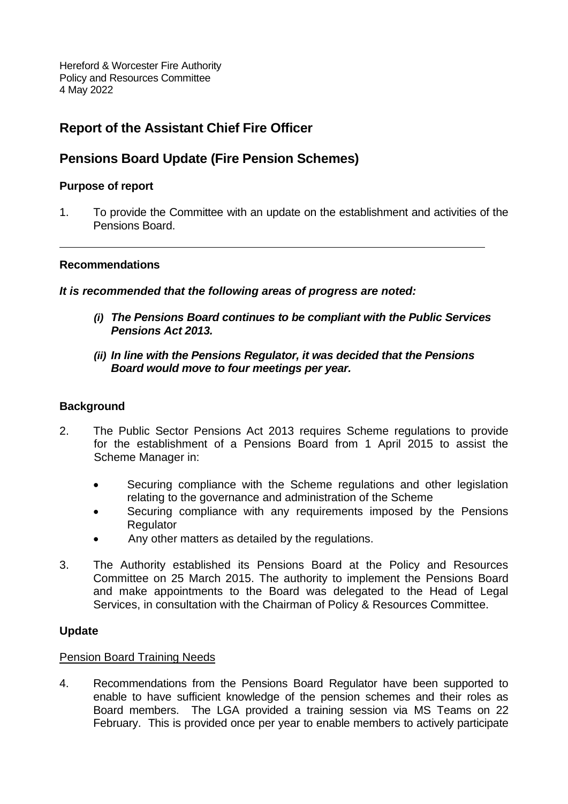Hereford & Worcester Fire Authority Policy and Resources Committee 4 May 2022

# **Report of the Assistant Chief Fire Officer**

## **Pensions Board Update (Fire Pension Schemes)**

#### **Purpose of report**

1. To provide the Committee with an update on the establishment and activities of the Pensions Board.

#### **Recommendations**

*It is recommended that the following areas of progress are noted:*

- *(i) The Pensions Board continues to be compliant with the Public Services Pensions Act 2013.*
- *(ii) In line with the Pensions Regulator, it was decided that the Pensions Board would move to four meetings per year.*

## **Background**

- 2. The Public Sector Pensions Act 2013 requires Scheme regulations to provide for the establishment of a Pensions Board from 1 April 2015 to assist the Scheme Manager in:
	- Securing compliance with the Scheme regulations and other legislation relating to the governance and administration of the Scheme
	- Securing compliance with any requirements imposed by the Pensions **Regulator**
	- Any other matters as detailed by the regulations.
- 3. The Authority established its Pensions Board at the Policy and Resources Committee on 25 March 2015. The authority to implement the Pensions Board and make appointments to the Board was delegated to the Head of Legal Services, in consultation with the Chairman of Policy & Resources Committee.

## **Update**

#### Pension Board Training Needs

4. Recommendations from the Pensions Board Regulator have been supported to enable to have sufficient knowledge of the pension schemes and their roles as Board members. The LGA provided a training session via MS Teams on 22 February. This is provided once per year to enable members to actively participate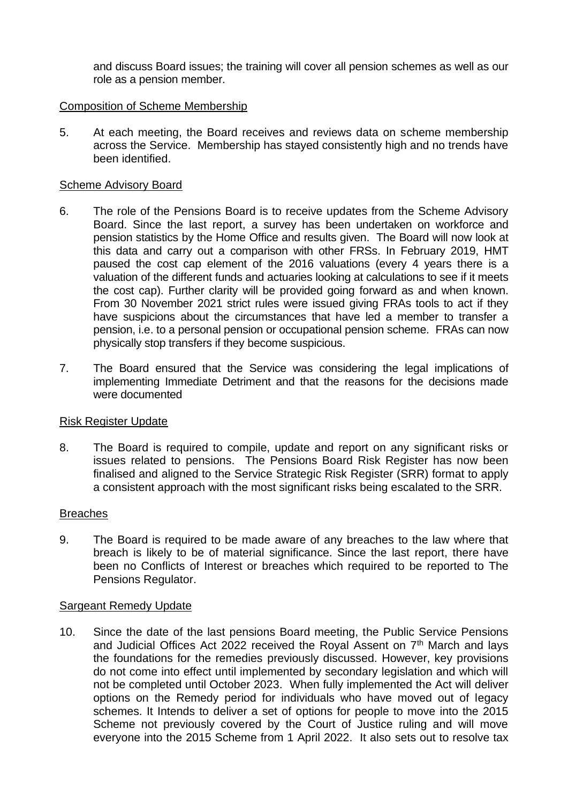and discuss Board issues; the training will cover all pension schemes as well as our role as a pension member.

## Composition of Scheme Membership

5. At each meeting, the Board receives and reviews data on scheme membership across the Service. Membership has stayed consistently high and no trends have been identified.

#### Scheme Advisory Board

- 6. The role of the Pensions Board is to receive updates from the Scheme Advisory Board. Since the last report, a survey has been undertaken on workforce and pension statistics by the Home Office and results given. The Board will now look at this data and carry out a comparison with other FRSs. In February 2019, HMT paused the cost cap element of the 2016 valuations (every 4 years there is a valuation of the different funds and actuaries looking at calculations to see if it meets the cost cap). Further clarity will be provided going forward as and when known. From 30 November 2021 strict rules were issued giving FRAs tools to act if they have suspicions about the circumstances that have led a member to transfer a pension, i.e. to a personal pension or occupational pension scheme. FRAs can now physically stop transfers if they become suspicious.
- 7. The Board ensured that the Service was considering the legal implications of implementing Immediate Detriment and that the reasons for the decisions made were documented

#### Risk Register Update

8. The Board is required to compile, update and report on any significant risks or issues related to pensions. The Pensions Board Risk Register has now been finalised and aligned to the Service Strategic Risk Register (SRR) format to apply a consistent approach with the most significant risks being escalated to the SRR.

#### **Breaches**

9. The Board is required to be made aware of any breaches to the law where that breach is likely to be of material significance. Since the last report, there have been no Conflicts of Interest or breaches which required to be reported to The Pensions Regulator.

#### Sargeant Remedy Update

10. Since the date of the last pensions Board meeting, the Public Service Pensions and Judicial Offices Act 2022 received the Royal Assent on  $7<sup>th</sup>$  March and lays the foundations for the remedies previously discussed. However, key provisions do not come into effect until implemented by secondary legislation and which will not be completed until October 2023. When fully implemented the Act will deliver options on the Remedy period for individuals who have moved out of legacy schemes. It Intends to deliver a set of options for people to move into the 2015 Scheme not previously covered by the Court of Justice ruling and will move everyone into the 2015 Scheme from 1 April 2022. It also sets out to resolve tax